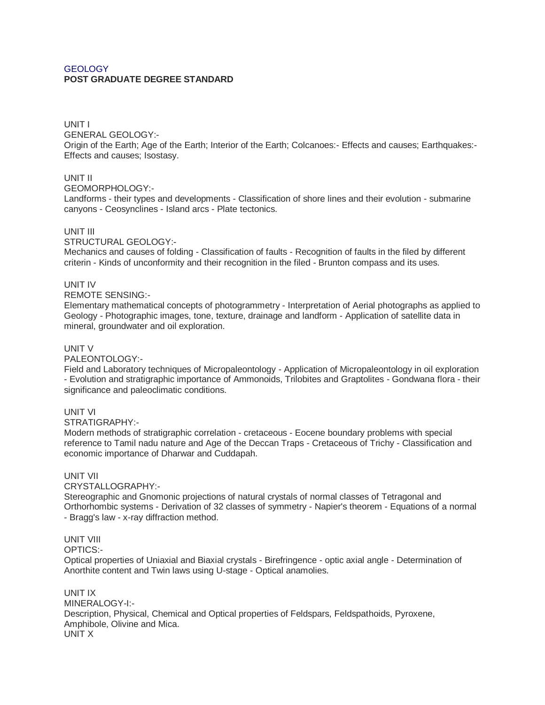## **GEOLOGY POST GRADUATE DEGREE STANDARD**

# UNIT I

GENERAL GEOLOGY:-

Origin of the Earth; Age of the Earth; Interior of the Earth; Colcanoes:- Effects and causes; Earthquakes:- Effects and causes; Isostasy.

## UNIT II

GEOMORPHOLOGY:-

Landforms - their types and developments - Classification of shore lines and their evolution - submarine canyons - Ceosynclines - Island arcs - Plate tectonics.

### UNIT III

STRUCTURAL GEOLOGY:-

Mechanics and causes of folding - Classification of faults - Recognition of faults in the filed by different criterin - Kinds of unconformity and their recognition in the filed - Brunton compass and its uses.

## UNIT IV

REMOTE SENSING:-

Elementary mathematical concepts of photogrammetry - Interpretation of Aerial photographs as applied to Geology - Photographic images, tone, texture, drainage and landform - Application of satellite data in mineral, groundwater and oil exploration.

## UNIT V

PALEONTOLOGY:-

Field and Laboratory techniques of Micropaleontology - Application of Micropaleontology in oil exploration - Evolution and stratigraphic importance of Ammonoids, Trilobites and Graptolites - Gondwana flora - their significance and paleoclimatic conditions.

#### UNIT VI

STRATIGRAPHY:-

Modern methods of stratigraphic correlation - cretaceous - Eocene boundary problems with special reference to Tamil nadu nature and Age of the Deccan Traps - Cretaceous of Trichy - Classification and economic importance of Dharwar and Cuddapah.

# UNIT VII

#### CRYSTALLOGRAPHY:-

Stereographic and Gnomonic projections of natural crystals of normal classes of Tetragonal and Orthorhombic systems - Derivation of 32 classes of symmetry - Napier's theorem - Equations of a normal - Bragg's law - x-ray diffraction method.

# UNIT VIII

OPTICS:-

Optical properties of Uniaxial and Biaxial crystals - Birefringence - optic axial angle - Determination of Anorthite content and Twin laws using U-stage - Optical anamolies.

UNIT IX MINERALOGY-I:- Description, Physical, Chemical and Optical properties of Feldspars, Feldspathoids, Pyroxene, Amphibole, Olivine and Mica. UNIT X